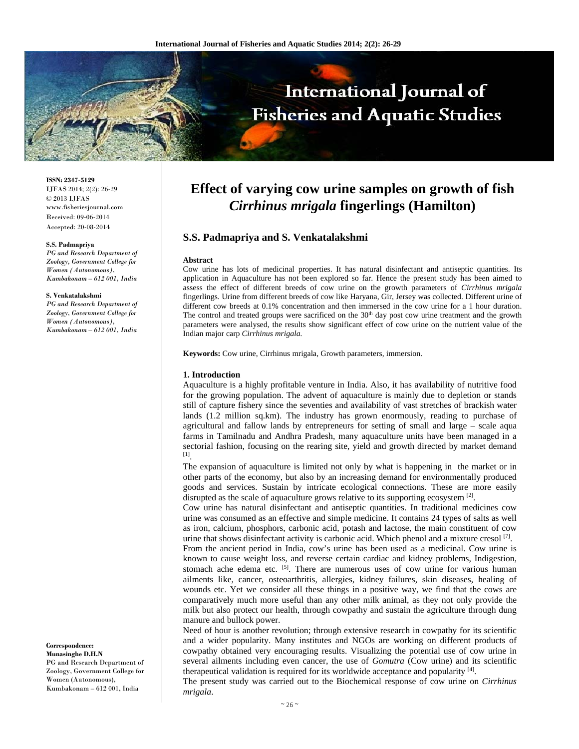

**ISSN: 2347-5129** IJFAS 2014; 2(2): 26-29  $\odot$  2013 IJFAS www.fisheriesjournal.com Received: 09-06-2014 Accepted: 20-08-2014

#### **S.S. Padmapriya**

*PG and Research Department of Zoology, Government College for Women (Autonomous), Kumbakonam – 612 001, India* 

#### **S. Venkatalakshmi**

*PG and Research Department of Zoology, Government College for Women (Autonomous), Kumbakonam – 612 001, India* 

**Correspondence: Munasinghe D.H.N** PG and Research Department of Zoology, Government College for Women (Autonomous), Kumbakonam – 612 001, India

# **Effect of varying cow urine samples on growth of fish**  *Cirrhinus mrigala* **fingerlings (Hamilton)**

# **S.S. Padmapriya and S. Venkatalakshmi**

#### **Abstract**

Cow urine has lots of medicinal properties. It has natural disinfectant and antiseptic quantities. Its application in Aquaculture has not been explored so far. Hence the present study has been aimed to assess the effect of different breeds of cow urine on the growth parameters of *Cirrhinus mrigala* fingerlings. Urine from different breeds of cow like Haryana, Gir, Jersey was collected. Different urine of different cow breeds at 0.1% concentration and then immersed in the cow urine for a 1 hour duration. The control and treated groups were sacrificed on the 30<sup>th</sup> day post cow urine treatment and the growth parameters were analysed, the results show significant effect of cow urine on the nutrient value of the Indian major carp *Cirrhinus mrigala.*

**Keywords:** Cow urine, Cirrhinus mrigala, Growth parameters, immersion.

#### **1. Introduction**

Aquaculture is a highly profitable venture in India. Also, it has availability of nutritive food for the growing population. The advent of aquaculture is mainly due to depletion or stands still of capture fishery since the seventies and availability of vast stretches of brackish water lands (1.2 million sq.km). The industry has grown enormously, reading to purchase of agricultural and fallow lands by entrepreneurs for setting of small and large – scale aqua farms in Tamilnadu and Andhra Pradesh, many aquaculture units have been managed in a sectorial fashion, focusing on the rearing site, yield and growth directed by market demand [1].

The expansion of aquaculture is limited not only by what is happening in the market or in other parts of the economy, but also by an increasing demand for environmentally produced goods and services. Sustain by intricate ecological connections. These are more easily disrupted as the scale of aquaculture grows relative to its supporting ecosystem  $[2]$ .

Cow urine has natural disinfectant and antiseptic quantities. In traditional medicines cow urine was consumed as an effective and simple medicine. It contains 24 types of salts as well as iron, calcium, phosphors, carbonic acid, potash and lactose, the main constituent of cow urine that shows disinfectant activity is carbonic acid. Which phenol and a mixture cresol  $[7]$ .

From the ancient period in India, cow's urine has been used as a medicinal. Cow urine is known to cause weight loss, and reverse certain cardiac and kidney problems, Indigestion, stomach ache edema etc.  $[5]$ . There are numerous uses of cow urine for various human ailments like, cancer, osteoarthritis, allergies, kidney failures, skin diseases, healing of wounds etc. Yet we consider all these things in a positive way, we find that the cows are comparatively much more useful than any other milk animal, as they not only provide the milk but also protect our health, through cowpathy and sustain the agriculture through dung manure and bullock power.

Need of hour is another revolution; through extensive research in cowpathy for its scientific and a wider popularity. Many institutes and NGOs are working on different products of cowpathy obtained very encouraging results. Visualizing the potential use of cow urine in several ailments including even cancer, the use of *Gomutra* (Cow urine) and its scientific therapeutical validation is required for its worldwide acceptance and popularity [4].

The present study was carried out to the Biochemical response of cow urine on *Cirrhinus mrigala*.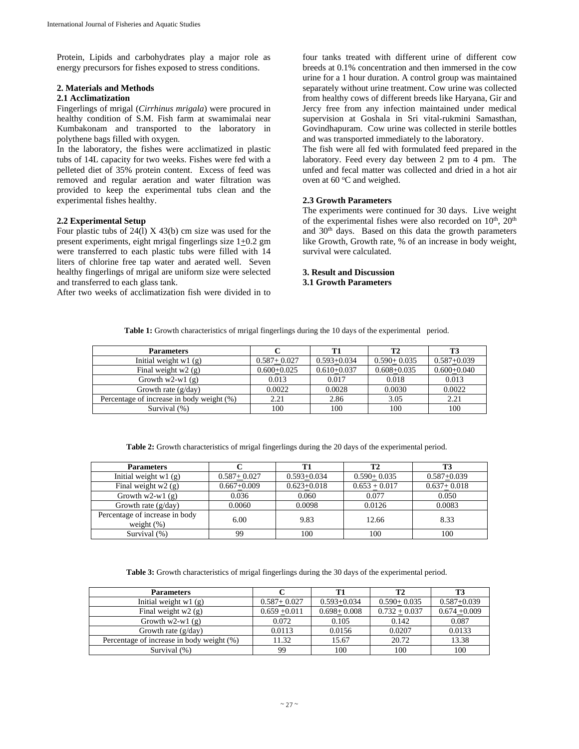Protein, Lipids and carbohydrates play a major role as energy precursors for fishes exposed to stress conditions.

# **2. Materials and Methods**

# **2.1 Acclimatization**

Fingerlings of mrigal (*Cirrhinus mrigala*) were procured in healthy condition of S.M. Fish farm at swamimalai near Kumbakonam and transported to the laboratory in polythene bags filled with oxygen.

In the laboratory, the fishes were acclimatized in plastic tubs of 14L capacity for two weeks. Fishes were fed with a pelleted diet of 35% protein content. Excess of feed was removed and regular aeration and water filtration was provided to keep the experimental tubs clean and the experimental fishes healthy.

# **2.2 Experimental Setup**

Four plastic tubs of  $24(1)$  X  $43(b)$  cm size was used for the present experiments, eight mrigal fingerlings size  $1\pm0.2$  gm were transferred to each plastic tubs were filled with 14 liters of chlorine free tap water and aerated well. Seven healthy fingerlings of mrigal are uniform size were selected and transferred to each glass tank.

After two weeks of acclimatization fish were divided in to

four tanks treated with different urine of different cow breeds at 0.1% concentration and then immersed in the cow urine for a 1 hour duration. A control group was maintained separately without urine treatment. Cow urine was collected from healthy cows of different breeds like Haryana, Gir and Jercy free from any infection maintained under medical supervision at Goshala in Sri vital-rukmini Samasthan, Govindhapuram. Cow urine was collected in sterile bottles and was transported immediately to the laboratory.

The fish were all fed with formulated feed prepared in the laboratory. Feed every day between 2 pm to 4 pm. The unfed and fecal matter was collected and dried in a hot air oven at  $60^{\circ}$ C and weighed.

# **2.3 Growth Parameters**

The experiments were continued for 30 days. Live weight of the experimental fishes were also recorded on  $10^{th}$ ,  $20^{th}$ and 30th days. Based on this data the growth parameters like Growth, Growth rate, % of an increase in body weight, survival were calculated.

### **3. Result and Discussion 3.1 Growth Parameters**

|  |  |  | Table 1: Growth characteristics of mrigal fingerlings during the 10 days of the experimental period. |  |
|--|--|--|------------------------------------------------------------------------------------------------------|--|

| <b>Parameters</b>                         |                 | T1              | T2              | <b>T3</b>       |
|-------------------------------------------|-----------------|-----------------|-----------------|-----------------|
| Initial weight $w1(g)$                    | $0.587 + 0.027$ | $0.593 + 0.034$ | $0.590 + 0.035$ | $0.587 + 0.039$ |
| Final weight $w2(g)$                      | $0.600 + 0.025$ | $0.610 + 0.037$ | $0.608 + 0.035$ | $0.600 + 0.040$ |
| Growth $w2-w1(g)$                         | 0.013           | 0.017           | 0.018           | 0.013           |
| Growth rate $(g/day)$                     | 0.0022          | 0.0028          | 0.0030          | 0.0022          |
| Percentage of increase in body weight (%) | 2.21            | 2.86            | 3.05            | 2.21            |
| Survival (%)                              | 100             | 100             | 100             | 100             |

**Table 2:** Growth characteristics of mrigal fingerlings during the 20 days of the experimental period.

| <b>Parameters</b>                               |                 | T1              | T2              | T <sub>3</sub>  |  |
|-------------------------------------------------|-----------------|-----------------|-----------------|-----------------|--|
| Initial weight $w1(g)$                          | $0.587 + 0.027$ | $0.593 + 0.034$ | $0.590 + 0.035$ | $0.587 + 0.039$ |  |
| Final weight $w2(g)$                            | $0.667 + 0.009$ | $0.623 + 0.018$ | $0.653 + 0.017$ | $0.637 + 0.018$ |  |
| Growth $w2-w1(g)$                               | 0.036           | 0.060           | 0.077           | 0.050           |  |
| Growth rate $(g/day)$                           | 0.0060          | 0.0098          | 0.0126          | 0.0083          |  |
| Percentage of increase in body<br>weight $(\%)$ | 6.00            | 9.83            | 12.66           | 8.33            |  |
| Survival (%)                                    | 99              | 100             | 100             | 100             |  |

**Table 3:** Growth characteristics of mrigal fingerlings during the 30 days of the experimental period.

| <b>Parameters</b>                         |                 |                 | T <sub>2</sub>  | T3              |
|-------------------------------------------|-----------------|-----------------|-----------------|-----------------|
| Initial weight $w1(g)$                    | $0.587 + 0.027$ | $0.593 + 0.034$ | $0.590 + 0.035$ | $0.587 + 0.039$ |
| Final weight $w2(g)$                      | $0.659 + 0.011$ | $0.698 + 0.008$ | $0.732 + 0.037$ | $0.674 + 0.009$ |
| Growth $w2-w1(g)$                         | 0.072           | 0.105           | 0.142           | 0.087           |
| Growth rate $(g/day)$                     | 0.0113          | 0.0156          | 0.0207          | 0.0133          |
| Percentage of increase in body weight (%) | 11.32           | 15.67           | 20.72           | 13.38           |
| Survival (%)                              | 99              | 100             | 100             | 100             |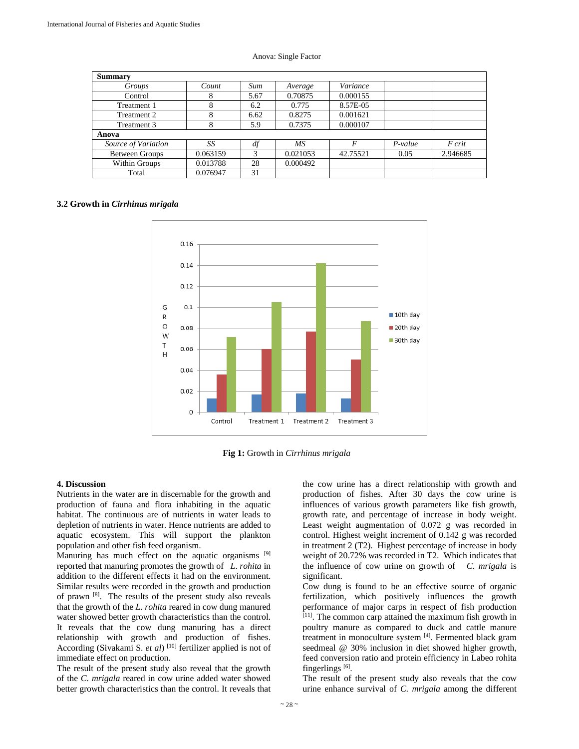| Summary               |          |      |          |          |           |          |  |  |
|-----------------------|----------|------|----------|----------|-----------|----------|--|--|
| Groups                | Count    | Sum  | Average  | Variance |           |          |  |  |
| Control               | 8        | 5.67 | 0.70875  | 0.000155 |           |          |  |  |
| Treatment 1           | 8        | 6.2  | 0.775    | 8.57E-05 |           |          |  |  |
| Treatment 2           | 8        | 6.62 | 0.8275   | 0.001621 |           |          |  |  |
| Treatment 3           | 8        | 5.9  | 0.7375   | 0.000107 |           |          |  |  |
| Anova                 |          |      |          |          |           |          |  |  |
| Source of Variation   | SS       | df   | MS       | F        | $P-value$ | F crit   |  |  |
| <b>Between Groups</b> | 0.063159 | 3    | 0.021053 | 42.75521 | 0.05      | 2.946685 |  |  |
| Within Groups         | 0.013788 | 28   | 0.000492 |          |           |          |  |  |
| Total                 | 0.076947 | 31   |          |          |           |          |  |  |

#### Anova: Single Factor

#### **3.2 Growth in** *Cirrhinus mrigala*





#### **4. Discussion**

Nutrients in the water are in discernable for the growth and production of fauna and flora inhabiting in the aquatic habitat. The continuous are of nutrients in water leads to depletion of nutrients in water. Hence nutrients are added to aquatic ecosystem. This will support the plankton population and other fish feed organism.

Manuring has much effect on the aquatic organisms [9] reported that manuring promotes the growth of *L*. *rohita* in addition to the different effects it had on the environment. Similar results were recorded in the growth and production of prawn [8]. The results of the present study also reveals that the growth of the *L. rohita* reared in cow dung manured water showed better growth characteristics than the control. It reveals that the cow dung manuring has a direct relationship with growth and production of fishes. According (Sivakami S. *et al*)<sup>[10]</sup> fertilizer applied is not of immediate effect on production.

The result of the present study also reveal that the growth of the *C. mrigala* reared in cow urine added water showed better growth characteristics than the control. It reveals that

the cow urine has a direct relationship with growth and production of fishes. After 30 days the cow urine is influences of various growth parameters like fish growth, growth rate, and percentage of increase in body weight. Least weight augmentation of 0.072 g was recorded in control. Highest weight increment of 0.142 g was recorded in treatment 2 (T2). Highest percentage of increase in body weight of 20.72% was recorded in T2. Which indicates that the influence of cow urine on growth of *C. mrigala* is significant.

Cow dung is found to be an effective source of organic fertilization, which positively influences the growth performance of major carps in respect of fish production [11]. The common carp attained the maximum fish growth in poultry manure as compared to duck and cattle manure treatment in monoculture system [4]. Fermented black gram seedmeal @ 30% inclusion in diet showed higher growth, feed conversion ratio and protein efficiency in Labeo rohita fingerlings [6].

The result of the present study also reveals that the cow urine enhance survival of *C. mrigala* among the different